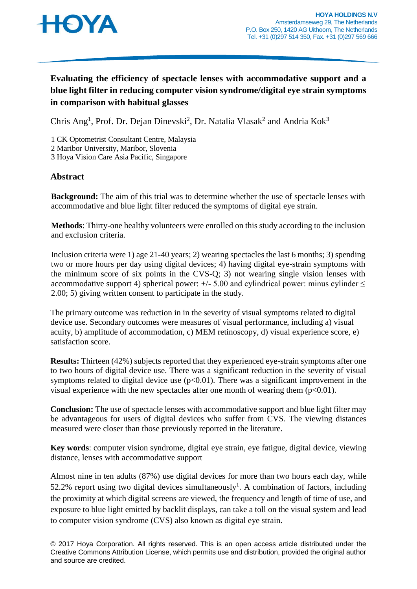

# **Evaluating the efficiency of spectacle lenses with accommodative support and a blue light filter in reducing computer vision syndrome/digital eye strain symptoms in comparison with habitual glasses**

Chris Ang<sup>1</sup>, Prof. Dr. Dejan Dinevski<sup>2</sup>, Dr. Natalia Vlasak<sup>2</sup> and Andria Kok<sup>3</sup>

1 CK Optometrist Consultant Centre, Malaysia

2 Maribor University, Maribor, Slovenia

3 Hoya Vision Care Asia Pacific, Singapore

### **Abstract**

**Background:** The aim of this trial was to determine whether the use of spectacle lenses with accommodative and blue light filter reduced the symptoms of digital eye strain.

**Methods**: Thirty-one healthy volunteers were enrolled on this study according to the inclusion and exclusion criteria.

Inclusion criteria were 1) age 21-40 years; 2) wearing spectacles the last 6 months; 3) spending two or more hours per day using digital devices; 4) having digital eye-strain symptoms with the minimum score of six points in the CVS-Q; 3) not wearing single vision lenses with accommodative support 4) spherical power:  $+/- 5.00$  and cylindrical power: minus cylinder  $\leq$ 2.00; 5) giving written consent to participate in the study.

The primary outcome was reduction in in the severity of visual symptoms related to digital device use. Secondary outcomes were measures of visual performance, including a) visual acuity, b) amplitude of accommodation, c) MEM retinoscopy, d) visual experience score, e) satisfaction score.

**Results:** Thirteen (42%) subjects reported that they experienced eye-strain symptoms after one to two hours of digital device use. There was a significant reduction in the severity of visual symptoms related to digital device use  $(p<0.01)$ . There was a significant improvement in the visual experience with the new spectacles after one month of wearing them  $(p<0.01)$ .

**Conclusion:** The use of spectacle lenses with accommodative support and blue light filter may be advantageous for users of digital devices who suffer from CVS. The viewing distances measured were closer than those previously reported in the literature.

**Key words**: computer vision syndrome, digital eye strain, eye fatigue, digital device, viewing distance, lenses with accommodative support

Almost nine in ten adults (87%) use digital devices for more than two hours each day, while 52.2% report using two digital devices simultaneously<sup>1</sup>. A combination of factors, including the proximity at which digital screens are viewed, the frequency and length of time of use, and exposure to blue light emitted by backlit displays, can take a toll on the visual system and lead to computer vision syndrome (CVS) also known as digital eye strain.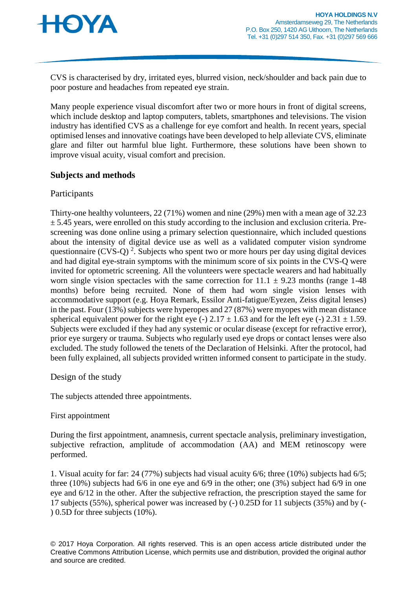

CVS is characterised by dry, irritated eyes, blurred vision, neck/shoulder and back pain due to poor posture and headaches from repeated eye strain.

Many people experience visual discomfort after two or more hours in front of digital screens, which include desktop and laptop computers, tablets, smartphones and televisions. The vision industry has identified CVS as a challenge for eye comfort and health. In recent years, special optimised lenses and innovative coatings have been developed to help alleviate CVS, eliminate glare and filter out harmful blue light. Furthermore, these solutions have been shown to improve visual acuity, visual comfort and precision.

### **Subjects and methods**

### Participants

Thirty-one healthy volunteers, 22 (71%) women and nine (29%) men with a mean age of 32.23  $\pm$  5.45 years, were enrolled on this study according to the inclusion and exclusion criteria. Prescreening was done online using a primary selection questionnaire, which included questions about the intensity of digital device use as well as a validated computer vision syndrome questionnaire (CVS-Q)<sup>2</sup>. Subjects who spent two or more hours per day using digital devices and had digital eye-strain symptoms with the minimum score of six points in the CVS-Q were invited for optometric screening. All the volunteers were spectacle wearers and had habitually worn single vision spectacles with the same correction for  $11.1 \pm 9.23$  months (range 1-48) months) before being recruited. None of them had worn single vision lenses with accommodative support (e.g. Hoya Remark, Essilor Anti-fatigue/Eyezen, Zeiss digital lenses) in the past. Four (13%) subjects were hyperopes and 27 (87%) were myopes with mean distance spherical equivalent power for the right eye (-)  $2.17 \pm 1.63$  and for the left eye (-)  $2.31 \pm 1.59$ . Subjects were excluded if they had any systemic or ocular disease (except for refractive error), prior eye surgery or trauma. Subjects who regularly used eye drops or contact lenses were also excluded. The study followed the tenets of the Declaration of Helsinki. After the protocol, had been fully explained, all subjects provided written informed consent to participate in the study.

Design of the study

The subjects attended three appointments.

### First appointment

During the first appointment, anamnesis, current spectacle analysis, preliminary investigation, subjective refraction, amplitude of accommodation (AA) and MEM retinoscopy were performed.

1. Visual acuity for far: 24 (77%) subjects had visual acuity 6/6; three (10%) subjects had 6/5; three (10%) subjects had 6/6 in one eye and 6/9 in the other; one (3%) subject had 6/9 in one eye and 6/12 in the other. After the subjective refraction, the prescription stayed the same for 17 subjects (55%), spherical power was increased by (-) 0.25D for 11 subjects (35%) and by (- ) 0.5D for three subjects (10%).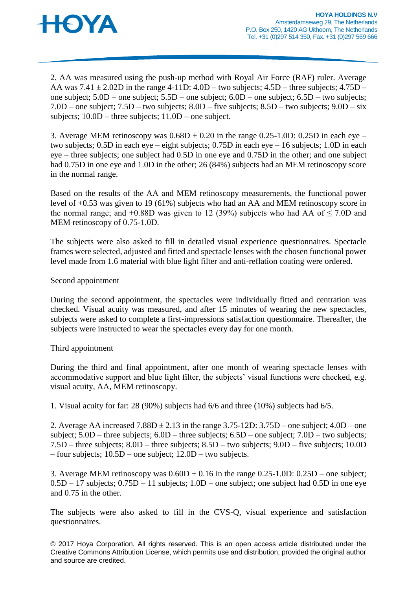

2. AA was measured using the push-up method with Royal Air Force (RAF) ruler. Average AA was  $7.41 \pm 2.02D$  in the range 4-11D:  $4.0D$  – two subjects;  $4.5D$  – three subjects;  $4.75D$  – one subject; 5.0D – one subject; 5.5D – one subject; 6.0D – one subject; 6.5D – two subjects; 7.0D – one subject; 7.5D – two subjects; 8.0D – five subjects; 8.5D – two subjects; 9.0D – six subjects; 10.0D – three subjects; 11.0D – one subject.

3. Average MEM retinoscopy was  $0.68D \pm 0.20$  in the range 0.25-1.0D: 0.25D in each eye – two subjects; 0.5D in each eye – eight subjects; 0.75D in each eye – 16 subjects; 1.0D in each eye – three subjects; one subject had 0.5D in one eye and 0.75D in the other; and one subject had 0.75D in one eye and 1.0D in the other; 26 (84%) subjects had an MEM retinoscopy score in the normal range.

Based on the results of the AA and MEM retinoscopy measurements, the functional power level of +0.53 was given to 19 (61%) subjects who had an AA and MEM retinoscopy score in the normal range; and +0.88D was given to 12 (39%) subjects who had AA of  $\leq$  7.0D and MEM retinoscopy of 0.75-1.0D.

The subjects were also asked to fill in detailed visual experience questionnaires. Spectacle frames were selected, adjusted and fitted and spectacle lenses with the chosen functional power level made from 1.6 material with blue light filter and anti-reflation coating were ordered.

#### Second appointment

During the second appointment, the spectacles were individually fitted and centration was checked. Visual acuity was measured, and after 15 minutes of wearing the new spectacles, subjects were asked to complete a first-impressions satisfaction questionnaire. Thereafter, the subjects were instructed to wear the spectacles every day for one month.

#### Third appointment

During the third and final appointment, after one month of wearing spectacle lenses with accommodative support and blue light filter, the subjects' visual functions were checked, e.g. visual acuity, AA, MEM retinoscopy.

1. Visual acuity for far: 28 (90%) subjects had 6/6 and three (10%) subjects had 6/5.

2. Average AA increased  $7.88D \pm 2.13$  in the range  $3.75-12D$ :  $3.75D$  – one subject;  $4.0D$  – one subject; 5.0D – three subjects; 6.0D – three subjects; 6.5D – one subject; 7.0D – two subjects; 7.5D – three subjects; 8.0D – three subjects; 8.5D – two subjects; 9.0D – five subjects; 10.0D – four subjects; 10.5D – one subject; 12.0D – two subjects.

3. Average MEM retinoscopy was  $0.60D \pm 0.16$  in the range  $0.25{\text -}1.0D$ :  $0.25D$  – one subject; 0.5D – 17 subjects; 0.75D – 11 subjects; 1.0D – one subject; one subject had 0.5D in one eye and 0.75 in the other.

The subjects were also asked to fill in the CVS-Q, visual experience and satisfaction questionnaires.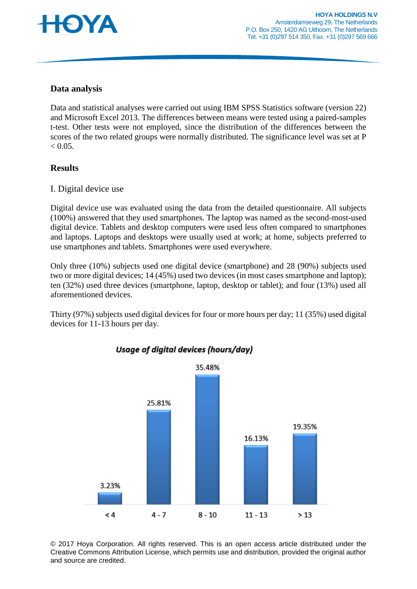

### **Data analysis**

Data and statistical analyses were carried out using IBM SPSS Statistics software (version 22) and Microsoft Excel 2013. The differences between means were tested using a paired-samples t-test. Other tests were not employed, since the distribution of the differences between the scores of the two related groups were normally distributed. The significance level was set at P  $< 0.05$ .

### **Results**

### I. Digital device use

Digital device use was evaluated using the data from the detailed questionnaire. All subjects (100%) answered that they used smartphones. The laptop was named as the second-most-used digital device. Tablets and desktop computers were used less often compared to smartphones and laptops. Laptops and desktops were usually used at work; at home, subjects preferred to use smartphones and tablets. Smartphones were used everywhere.

Only three (10%) subjects used one digital device (smartphone) and 28 (90%) subjects used two or more digital devices; 14 (45%) used two devices (in most cases smartphone and laptop); ten (32%) used three devices (smartphone, laptop, desktop or tablet); and four (13%) used all aforementioned devices.

Thirty (97%) subjects used digital devices for four or more hours per day; 11 (35%) used digital devices for 11-13 hours per day.



Usage of digital devices (hours/day)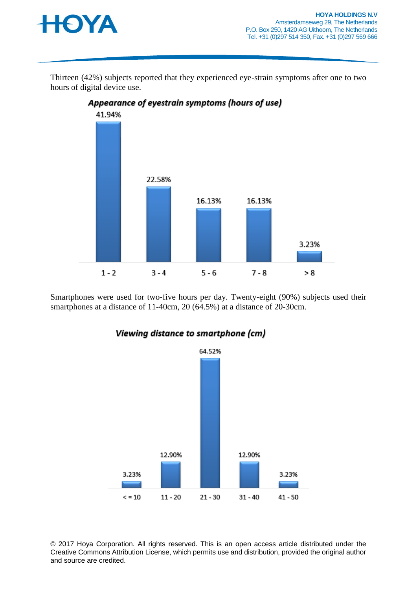

Thirteen (42%) subjects reported that they experienced eye-strain symptoms after one to two hours of digital device use.



Smartphones were used for two-five hours per day. Twenty-eight (90%) subjects used their smartphones at a distance of 11-40cm, 20 (64.5%) at a distance of 20-30cm.



Viewing distance to smartphone (cm)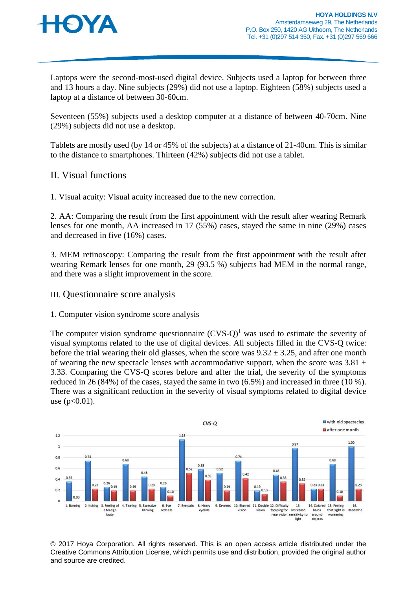

Laptops were the second-most-used digital device. Subjects used a laptop for between three and 13 hours a day. Nine subjects (29%) did not use a laptop. Eighteen (58%) subjects used a laptop at a distance of between 30-60cm.

Seventeen (55%) subjects used a desktop computer at a distance of between 40-70cm. Nine (29%) subjects did not use a desktop.

Tablets are mostly used (by 14 or 45% of the subjects) at a distance of 21-40cm. This is similar to the distance to smartphones. Thirteen (42%) subjects did not use a tablet.

### II. Visual functions

1. Visual acuity: Visual acuity increased due to the new correction.

2. AA: Comparing the result from the first appointment with the result after wearing Remark lenses for one month, AA increased in 17 (55%) cases, stayed the same in nine (29%) cases and decreased in five (16%) cases.

3. MEM retinoscopy: Comparing the result from the first appointment with the result after wearing Remark lenses for one month, 29 (93.5 %) subjects had MEM in the normal range, and there was a slight improvement in the score.

#### III. Questionnaire score analysis

#### 1. Computer vision syndrome score analysis

The computer vision syndrome questionnaire  $(CVS-O)^1$  was used to estimate the severity of visual symptoms related to the use of digital devices. All subjects filled in the CVS-Q twice: before the trial wearing their old glasses, when the score was  $9.32 \pm 3.25$ , and after one month of wearing the new spectacle lenses with accommodative support, when the score was  $3.81 \pm$ 3.33. Comparing the CVS-Q scores before and after the trial, the severity of the symptoms reduced in 26 (84%) of the cases, stayed the same in two (6.5%) and increased in three (10 %). There was a significant reduction in the severity of visual symptoms related to digital device use  $(p<0.01)$ .

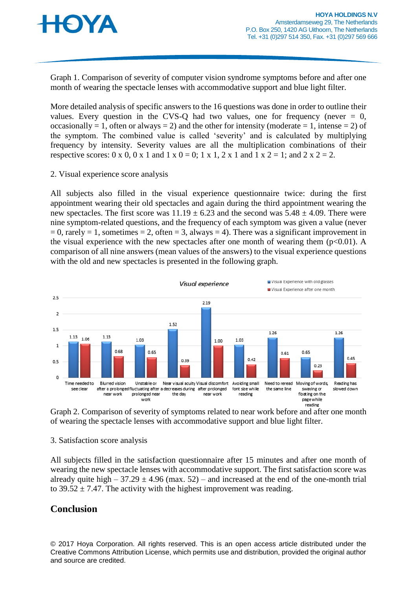

Graph 1. Comparison of severity of computer vision syndrome symptoms before and after one month of wearing the spectacle lenses with accommodative support and blue light filter.

More detailed analysis of specific answers to the 16 questions was done in order to outline their values. Every question in the CVS-Q had two values, one for frequency (never  $= 0$ , occasionally = 1, often or always = 2) and the other for intensity (moderate = 1, intense = 2) of the symptom. The combined value is called 'severity' and is calculated by multiplying frequency by intensity. Severity values are all the multiplication combinations of their respective scores:  $0 \times 0$ ,  $0 \times 1$  and  $1 \times 0 = 0$ ;  $1 \times 1$ ,  $2 \times 1$  and  $1 \times 2 = 1$ ; and  $2 \times 2 = 2$ .

2. Visual experience score analysis

All subjects also filled in the visual experience questionnaire twice: during the first appointment wearing their old spectacles and again during the third appointment wearing the new spectacles. The first score was  $11.19 \pm 6.23$  and the second was  $5.48 \pm 4.09$ . There were nine symptom-related questions, and the frequency of each symptom was given a value (never  $= 0$ , rarely  $= 1$ , sometimes  $= 2$ , often  $= 3$ , always  $= 4$ ). There was a significant improvement in the visual experience with the new spectacles after one month of wearing them ( $p<0.01$ ). A comparison of all nine answers (mean values of the answers) to the visual experience questions with the old and new spectacles is presented in the following graph.



Graph 2. Comparison of severity of symptoms related to near work before and after one month of wearing the spectacle lenses with accommodative support and blue light filter.

#### 3. Satisfaction score analysis

All subjects filled in the satisfaction questionnaire after 15 minutes and after one month of wearing the new spectacle lenses with accommodative support. The first satisfaction score was already quite high – 37.29  $\pm$  4.96 (max. 52) – and increased at the end of the one-month trial to  $39.52 \pm 7.47$ . The activity with the highest improvement was reading.

## **Conclusion**